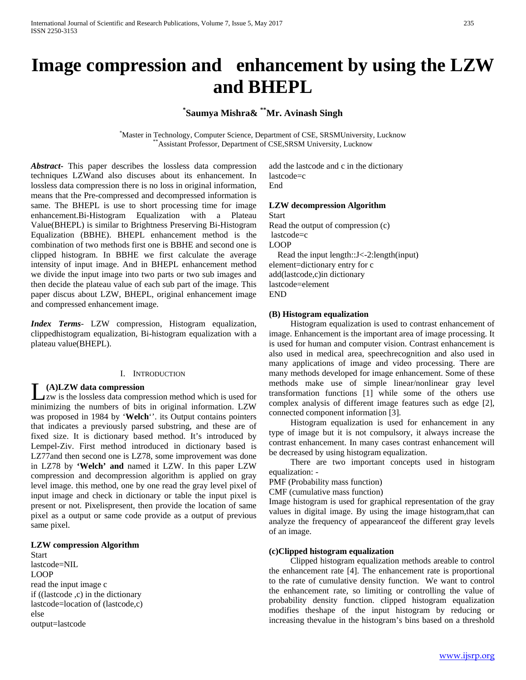# **Image compression and enhancement by using the LZW and BHEPL**

## **\* Saumya Mishra& \*\*Mr. Avinash Singh**

\* Master in Technology, Computer Science, Department of CSE, SRSMUniversity, Lucknow \*\*Assistant Professor, Department of CSE,SRSM University, Lucknow

*Abstract***-** This paper describes the lossless data compression techniques LZWand also discuses about its enhancement. In lossless data compression there is no loss in original information, means that the Pre-compressed and decompressed information is same. The BHEPL is use to short processing time for image enhancement.Bi-Histogram Equalization with a Plateau Value(BHEPL) is similar to Brightness Preserving Bi-Histogram Equalization (BBHE). BHEPL enhancement method is the combination of two methods first one is BBHE and second one is clipped histogram. In BBHE we first calculate the average intensity of input image. And in BHEPL enhancement method we divide the input image into two parts or two sub images and then decide the plateau value of each sub part of the image. This paper discus about LZW, BHEPL, original enhancement image and compressed enhancement image.

*Index Terms*- LZW compression, Histogram equalization, clippedhistogram equalization, Bi-histogram equalization with a plateau value(BHEPL).

## I. INTRODUCTION

## **(A)LZW data compression**

zw is the lossless data compression method which is used for (A)LZW data compression<br>
zw is the lossless data compression method which is used for<br>
minimizing the numbers of bits in original information. LZW was proposed in 1984 by '**Welch**''. its Output contains pointers that indicates a previously parsed substring, and these are of fixed size. It is dictionary based method. It's introduced by Lempel-Ziv. First method introduced in dictionary based is LZ77and then second one is LZ78, some improvement was done in LZ78 by **'Welch' and** named it LZW. In this paper LZW compression and decompression algorithm is applied on gray level image. this method, one by one read the gray level pixel of input image and check in dictionary or table the input pixel is present or not. Pixelispresent, then provide the location of same pixel as a output or same code provide as a output of previous same pixel.

### **LZW compression Algorithm**

Start lastcode=NIL LOOP read the input image c if ((lastcode, c) in the dictionary lastcode=location of (lastcode,c) else output=lastcode

add the lastcode and c in the dictionary lastcode=c End

#### **LZW decompression Algorithm**

Start Read the output of compression (c) lastcode=c LOOP Read the input length::J<-2:length(input) element=dictionary entry for c add(lastcode,c)in dictionary lastcode=element END

## **(B) Histogram equalization**

 Histogram equalization is used to contrast enhancement of image. Enhancement is the important area of image processing. It is used for human and computer vision. Contrast enhancement is also used in medical area, speechrecognition and also used in many applications of image and video processing. There are many methods developed for image enhancement. Some of these methods make use of simple linear/nonlinear gray level transformation functions [1] while some of the others use complex analysis of different image features such as edge [2], connected component information [3].

 Histogram equalization is used for enhancement in any type of image but it is not compulsory, it always increase the contrast enhancement. In many cases contrast enhancement will be decreased by using histogram equalization.

 There are two important concepts used in histogram equalization: -

PMF (Probability mass function)

CMF (cumulative mass function)

Image histogram is used for graphical representation of the gray values in digital image. By using the image histogram,that can analyze the frequency of appearanceof the different gray levels of an image.

#### **(c)Clipped histogram equalization**

 Clipped histogram equalization methods areable to control the enhancement rate [4]. The enhancement rate is proportional to the rate of cumulative density function. We want to control the enhancement rate, so limiting or controlling the value of probability density function. clipped histogram equalization modifies theshape of the input histogram by reducing or increasing thevalue in the histogram's bins based on a threshold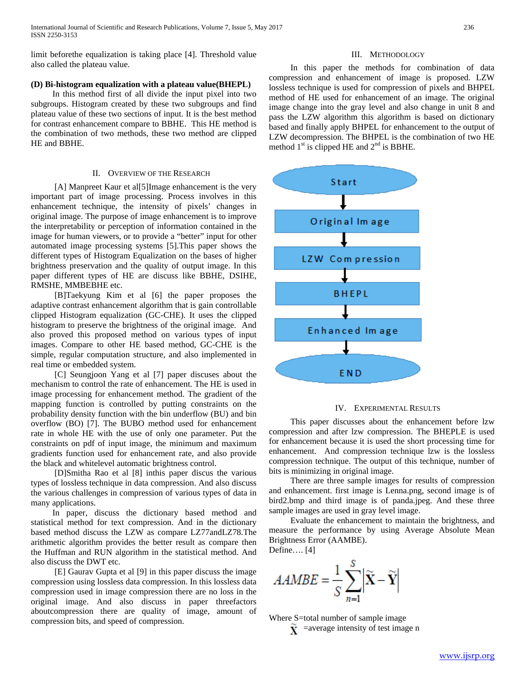limit beforethe equalization is taking place [4]. Threshold value also called the plateau value.

## **(D) Bi-histogram equalization with a plateau value(BHEPL)**

 In this method first of all divide the input pixel into two subgroups. Histogram created by these two subgroups and find plateau value of these two sections of input. It is the best method for contrast enhancement compare to BBHE. This HE method is the combination of two methods, these two method are clipped HE and BBHE.

## II. OVERVIEW OF THE RESEARCH

[A] Manpreet Kaur et al<sup>[5]</sup>Image enhancement is the very important part of image processing. Process involves in this enhancement technique, the intensity of pixels' changes in original image. The purpose of image enhancement is to improve the interpretability or perception of information contained in the image for human viewers, or to provide a "better" input for other automated image processing systems [5].This paper shows the different types of Histogram Equalization on the bases of higher brightness preservation and the quality of output image. In this paper different types of HE are discuss like BBHE, DSIHE, RMSHE, MMBEBHE etc.

 [B]Taekyung Kim et al [6] the paper proposes the adaptive contrast enhancement algorithm that is gain controllable clipped Histogram equalization (GC-CHE). It uses the clipped histogram to preserve the brightness of the original image. And also proved this proposed method on various types of input images. Compare to other HE based method, GC-CHE is the simple, regular computation structure, and also implemented in real time or embedded system.

 [C] Seungjoon Yang et al [7] paper discuses about the mechanism to control the rate of enhancement. The HE is used in image processing for enhancement method. The gradient of the mapping function is controlled by putting constraints on the probability density function with the bin underflow (BU) and bin overflow (BO) [7]. The BUBO method used for enhancement rate in whole HE with the use of only one parameter. Put the constraints on pdf of input image, the minimum and maximum gradients function used for enhancement rate, and also provide the black and whitelevel automatic brightness control.

 [D]Smitha Rao et al [8] inthis paper discus the various types of lossless technique in data compression. And also discuss the various challenges in compression of various types of data in many applications.

 In paper, discuss the dictionary based method and statistical method for text compression. And in the dictionary based method discuss the LZW as compare LZ77andLZ78.The arithmetic algorithm provides the better result as compare then the Huffman and RUN algorithm in the statistical method. And also discuss the DWT etc.

 [E] Gaurav Gupta et al [9] in this paper discuss the image compression using lossless data compression. In this lossless data compression used in image compression there are no loss in the original image. And also discuss in paper threefactors aboutcompression there are quality of image, amount of compression bits, and speed of compression.

#### III. METHODOLOGY

 In this paper the methods for combination of data compression and enhancement of image is proposed. LZW lossless technique is used for compression of pixels and BHPEL method of HE used for enhancement of an image. The original image change into the gray level and also change in unit 8 and pass the LZW algorithm this algorithm is based on dictionary based and finally apply BHPEL for enhancement to the output of LZW decompression. The BHPEL is the combination of two HE method  $1<sup>st</sup>$  is clipped HE and  $2<sup>nd</sup>$  is BBHE.



#### IV. EXPERIMENTAL RESULTS

 This paper discusses about the enhancement before lzw compression and after lzw compression. The BHEPLE is used for enhancement because it is used the short processing time for enhancement. And compression technique lzw is the lossless compression technique. The output of this technique, number of bits is minimizing in original image.

 There are three sample images for results of compression and enhancement. first image is Lenna.png, second image is of bird2.bmp and third image is of panda.jpeg. And these three sample images are used in gray level image.

 Evaluate the enhancement to maintain the brightness, and measure the performance by using Average Absolute Mean Brightness Error (AAMBE).

Define…. [4]

$$
AAMBE = \frac{1}{S} \sum_{n=1}^{S} \left| \widetilde{\mathbf{X}} - \widetilde{\mathbf{Y}} \right|
$$

Where S=total number of sample image

 $\tilde{\mathbf{Y}}$  =average intensity of test image n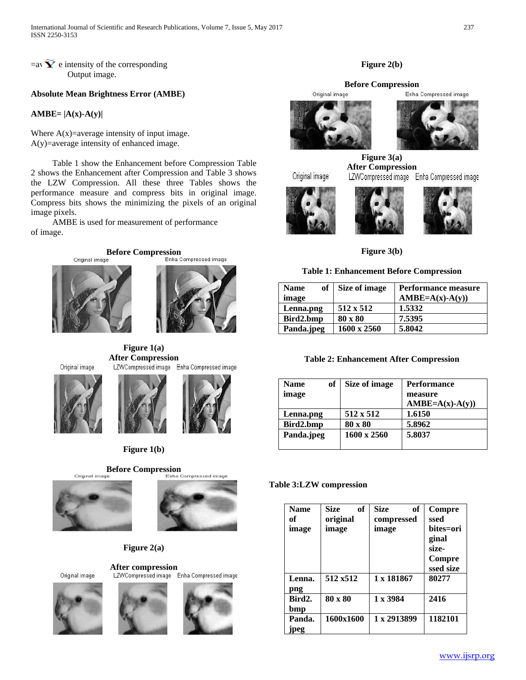$=$ av $\widetilde{\mathbf{Y}}$  e intensity of the corresponding Output image.

## **Absolute Mean Brightness Error (AMBE)**

**AMBE= |A(x)-A(y)|**

Where  $A(x)$ =average intensity of input image. A(y)=average intensity of enhanced image.

 Table 1 show the Enhancement before Compression Table 2 shows the Enhancement after Compression and Table 3 shows the LZW Compression. All these three Tables shows the performance measure and compress bits in original image. Compress bits shows the minimizing the pixels of an original image pixels.

 AMBE is used for measurement of performance of image.





**Figure 1(a) After Compression**<br>LZWCompressed image Enha Compressed image





**Figure 1(b)**



## **Figure 2(a)**

Original image









## **Figure 2(b)**

## **Before Compression**<br> **Driginal image** Enha





**Figure 3(a) After Compression**<br>LZWCompressed image Enha Compressed image

Original image







**Figure 3(b)**

#### **Table 1: Enhancement Before Compression**

| of<br><b>Name</b><br>image | Size of image | <b>Performance measure</b><br>$AMBE=A(x)-A(y))$ |
|----------------------------|---------------|-------------------------------------------------|
| Lenna.png                  | 512 x 512     | 1.5332                                          |
| Bird2.bmp                  | 80 x 80       | 7.5395                                          |
| Panda.jpeg                 | 1600 x 2560   | 5.8042                                          |

## **Table 2: Enhancement After Compression**

| of<br>Name | Size of image      | <b>Performance</b> |  |
|------------|--------------------|--------------------|--|
| image      |                    | measure            |  |
|            |                    | $AMBE=A(x)-A(y))$  |  |
| Lenna.png  | $512 \times 512$   | 1.6150             |  |
| Bird2.bmp  | 80 x 80            | 5.8962             |  |
| Panda.jpeg | $1600 \times 2560$ | 5.8037             |  |

### **Table 3:LZW compression**

| <b>Name</b><br>of<br>image | <b>Size</b><br>of<br>original<br>image | <b>Size</b><br>оf<br>compressed<br>image | Compre<br>ssed<br>bites=ori<br>ginal<br>size-<br>Compre<br>ssed size |
|----------------------------|----------------------------------------|------------------------------------------|----------------------------------------------------------------------|
| Lenna.<br>png              | 512 x512                               | 1 x 181867                               | 80277                                                                |
| Bird2.<br>bmp              | 80 x 80                                | $1 \times 3984$                          | 2416                                                                 |
| Panda.<br>jpeg             | 1600x1600                              | 1 x 2913899                              | 1182101                                                              |